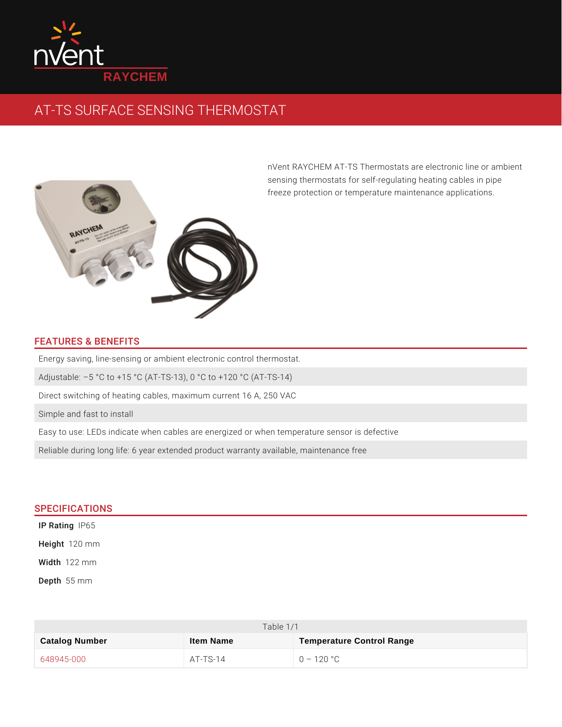

## AT-TS SURFACE SENSING THERMOSTAT

nVent RAYCHEM AT-TS Thermostats are electr sensing thermostats for self-regulating heatin freeze protection or temperature maintenance

## FEATURES & BENEFITS

Energy saving, line-sensing or ambient electronic control thermostat. Adjustable: 5 °C to +15 °C (AT-TS-13), 0 °C to +120 °C (AT-TS-14) Direct switching of heating cables, maximum current 16 A, 250 VAC Simple and fast to install Easy to use: LEDs indicate when cables are energized or when temperature sensor Reliable during long life: 6 year extended product warranty available, maintenance

## SPECIFICATIONS

IP Rating 5 Height20 mm Width<sub>122</sub> mm Dept\$n5 mm

| Table 1/1      |            |                           |  |
|----------------|------------|---------------------------|--|
| Catalog Number | Item Name  | Temperature Control Range |  |
| 648945-000     | $AT-TS-14$ | 120 °C                    |  |